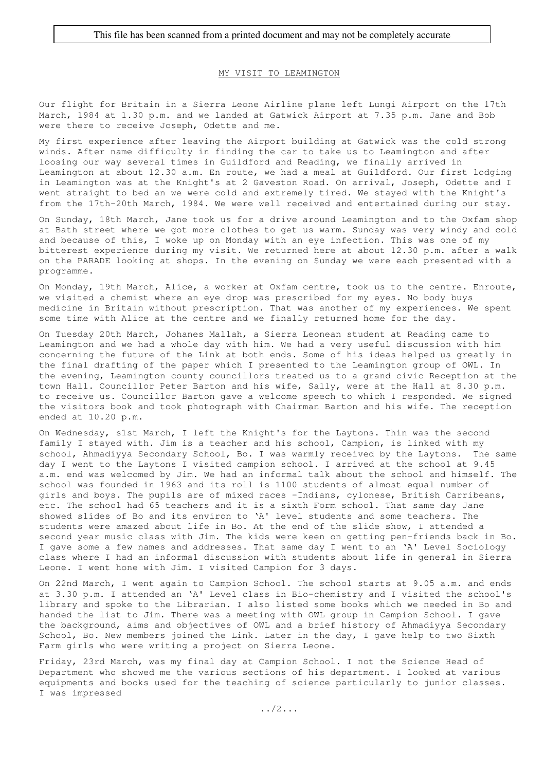## MY VISIT TO LEAMINGTON

Our flight for Britain in a Sierra Leone Airline plane left Lungi Airport on the 17th March, 1984 at 1.30 p.m. and we landed at Gatwick Airport at 7.35 p.m. Jane and Bob were there to receive Joseph, Odette and me.

My first experience after leaving the Airport building at Gatwick was the cold strong winds. After name difficulty in finding the car to take us to Leamington and after loosing our way several times in Guildford and Reading, we finally arrived in Leamington at about 12.30 a.m. En route, we had a meal at Guildford. Our first lodging in Leamington was at the Knight's at 2 Gaveston Road. On arrival, Joseph, Odette and I went straight to bed an we were cold and extremely tired. We stayed with the Knight's from the 17th-20th March, 1984. We were well received and entertained during our stay.

On Sunday, 18th March, Jane took us for a drive around Leamington and to the Oxfam shop at Bath street where we got more clothes to get us warm. Sunday was very windy and cold and because of this, I woke up on Monday with an eye infection. This was one of my bitterest experience during my visit. We returned here at about 12.30 p.m. after a walk on the PARADE looking at shops. In the evening on Sunday we were each presented with a programme.

On Monday, 19th March, Alice, a worker at Oxfam centre, took us to the centre. Enroute, we visited a chemist where an eye drop was prescribed for my eyes. No body buys medicine in Britain without prescription. That was another of my experiences. We spent some time with Alice at the centre and we finally returned home for the day.

On Tuesday 20th March, Johanes Mallah, a Sierra Leonean student at Reading came to Leamington and we had a whole day with him. We had a very useful discussion with him concerning the future of the Link at both ends. Some of his ideas helped us greatly in the final drafting of the paper which I presented to the Leamington group of OWL. In the evening, Leamington county councillors treated us to a grand civic Reception at the town Hall. Councillor Peter Barton and his wife, Sally, were at the Hall at 8.30 p.m. to receive us. Councillor Barton gave a welcome speech to which I responded. We signed the visitors book and took photograph with Chairman Barton and his wife. The reception ended at 10.20 p.m.

On Wednesday, s1st March, I left the Knight's for the Laytons. Thin was the second family I stayed with. Jim is a teacher and his school, Campion, is linked with my school, Ahmadiyya Secondary School, Bo. I was warmly received by the Laytons. The same day I went to the Laytons I visited campion school. I arrived at the school at 9.45 a.m. end was welcomed by Jim. We had an informal talk about the school and himself. The school was founded in 1963 and its roll is 1100 students of almost equal number of girls and boys. The pupils are of mixed races -Indians, cylonese, British Carribeans, etc. The school had 65 teachers and it is a sixth Form school. That same day Jane showed slides of Bo and its environ to 'A' level students and some teachers. The students were amazed about life in Bo. At the end of the slide show, I attended a second year music class with Jim. The kids were keen on getting pen-friends back in Bo. I gave some a few names and addresses. That same day I went to an 'A' Level Sociology class where I had an informal discussion with students about life in general in Sierra Leone. I went hone with Jim. I visited Campion for 3 days.

On 22nd March, I went again to Campion School. The school starts at 9.05 a.m. and ends at 3.30 p.m. I attended an 'A' Level class in Bio-chemistry and I visited the school's library and spoke to the Librarian. I also listed some books which we needed in Bo and handed the list to Jim. There was a meeting with OWL group in Campion School. I gave the background, aims and objectives of OWL and a brief history of Ahmadiyya Secondary School, Bo. New members joined the Link. Later in the day, I gave help to two Sixth Farm girls who were writing a project on Sierra Leone.

Friday, 23rd March, was my final day at Campion School. I not the Science Head of Department who showed me the various sections of his department. I looked at various equipments and books used for the teaching of science particularly to junior classes. I was impressed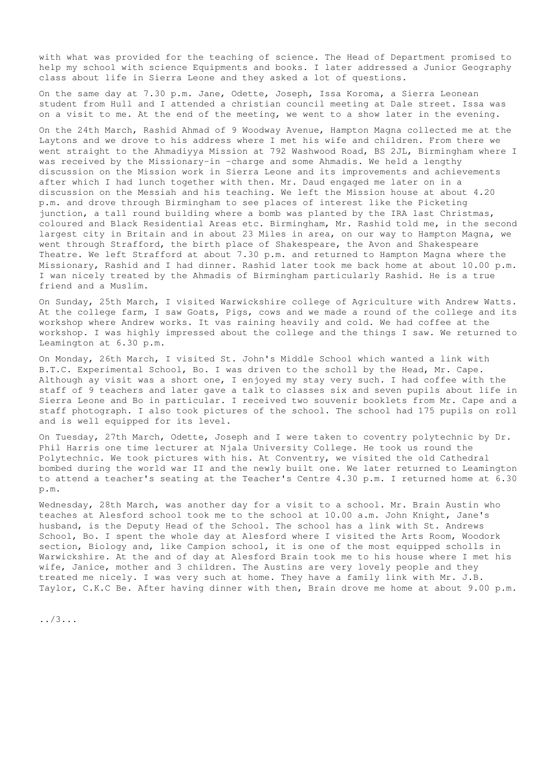with what was provided for the teaching of science. The Head of Department promised to help my school with science Equipments and books. I later addressed a Junior Geography class about life in Sierra Leone and they asked a lot of questions.

On the same day at 7.30 p.m. Jane, Odette, Joseph, Issa Koroma, a Sierra Leonean student from Hull and I attended a christian council meeting at Dale street. Issa was on a visit to me. At the end of the meeting, we went to a show later in the evening.

On the 24th March, Rashid Ahmad of 9 Woodway Avenue, Hampton Magna collected me at the Laytons and we drove to his address where I met his wife and children. From there we went straight to the Ahmadiyya Mission at 792 Washwood Road, BS 2JL, Birmingham where I was received by the Missionary-in -charge and some Ahmadis. We held a lengthy discussion on the Mission work in Sierra Leone and its improvements and achievements after which I had lunch together with then. Mr. Daud engaged me later on in a discussion on the Messiah and his teaching. We left the Mission house at about 4.20 p.m. and drove through Birmingham to see places of interest like the Picketing junction, a tall round building where a bomb was planted by the IRA last Christmas, coloured and Black Residential Areas etc. Birmingham, Mr. Rashid told me, in the second largest city in Britain and in about 23 Miles in area, on our way to Hampton Magna, we went through Strafford, the birth place of Shakespeare, the Avon and Shakespeare Theatre. We left Strafford at about 7.30 p.m. and returned to Hampton Magna where the Missionary, Rashid and I had dinner. Rashid later took me back home at about 10.00 p.m. I wan nicely treated by the Ahmadis of Birmingham particularly Rashid. He is a true friend and a Muslim.

On Sunday, 25th March, I visited Warwickshire college of Agriculture with Andrew Watts. At the college farm, I saw Goats, Pigs, cows and we made a round of the college and its workshop where Andrew works. It vas raining heavily and cold. We had coffee at the workshop. I was highly impressed about the college and the things I saw. We returned to Leamington at 6.30 p.m.

On Monday, 26th March, I visited St. John's Middle School which wanted a link with B.T.C. Experimental School, Bo. I was driven to the scholl by the Head, Mr. Cape. Although ay visit was a short one, I enjoyed my stay very such. I had coffee with the staff of 9 teachers and later gave a talk to classes six and seven pupils about life in Sierra Leone and Bo in particular. I received two souvenir booklets from Mr. Cape and a staff photograph. I also took pictures of the school. The school had 175 pupils on roll and is well equipped for its level.

On Tuesday, 27th March, Odette, Joseph and I were taken to coventry polytechnic by Dr. Phil Harris one time lecturer at Njala University College. He took us round the Polytechnic. We took pictures with his. At Conventry, we visited the old Cathedral bombed during the world war II and the newly built one. We later returned to Leamington to attend a teacher's seating at the Teacher's Centre 4.30 p.m. I returned home at 6.30 p.m.

Wednesday, 28th March, was another day for a visit to a school. Mr. Brain Austin who teaches at Alesford school took me to the school at 10.00 a.m. John Knight, Jane's husband, is the Deputy Head of the School. The school has a link with St. Andrews School, Bo. I spent the whole day at Alesford where I visited the Arts Room, Woodork section, Biology and, like Campion school, it is one of the most equipped scholls in Warwickshire. At the and of day at Alesford Brain took me to his house where I met his wife, Janice, mother and 3 children. The Austins are very lovely people and they treated me nicely. I was very such at home. They have a family link with Mr. J.B. Taylor, C.K.C Be. After having dinner with then, Brain drove me home at about 9.00 p.m.

../3...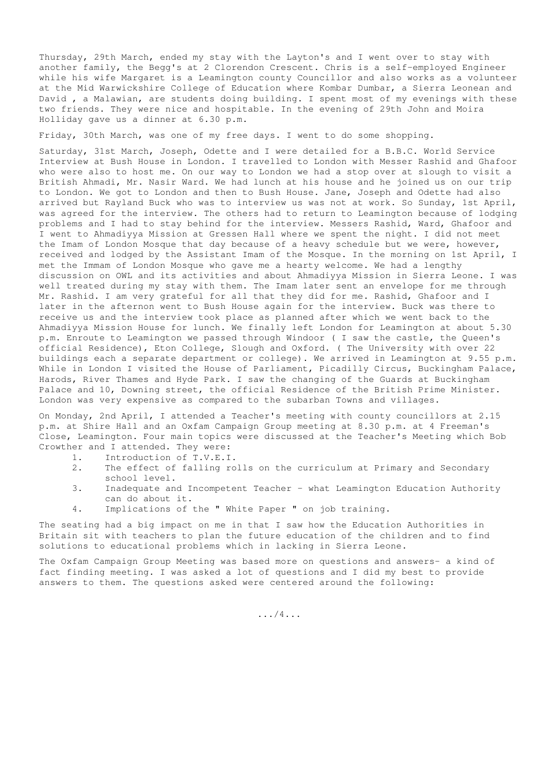Thursday, 29th March, ended my stay with the Layton's and I went over to stay with another family, the Begg's at 2 Clorendon Crescent. Chris is a self-employed Engineer while his wife Margaret is a Leamington county Councillor and also works as a volunteer at the Mid Warwickshire College of Education where Kombar Dumbar, a Sierra Leonean and David , a Malawian, are students doing building. I spent most of my evenings with these two friends. They were nice and hospitable. In the evening of 29th John and Moira Holliday gave us a dinner at 6.30 p.m.

Friday, 30th March, was one of my free days. I went to do some shopping.

Saturday, 31st March, Joseph, Odette and I were detailed for a B.B.C. World Service Interview at Bush House in London. I travelled to London with Messer Rashid and Ghafoor who were also to host me. On our way to London we had a stop over at slough to visit a British Ahmadi, Mr. Nasir Ward. We had lunch at his house and he joined us on our trip to London. We got to London and then to Bush House. Jane, Joseph and Odette had also arrived but Rayland Buck who was to interview us was not at work. So Sunday, 1st April, was agreed for the interview. The others had to return to Leamington because of lodging problems and I had to stay behind for the interview. Messers Rashid, Ward, Ghafoor and I went to Ahmadiyya Mission at Gressen Hall where we spent the night. I did not meet the Imam of London Mosque that day because of a heavy schedule but we were, however, received and lodged by the Assistant Imam of the Mosque. In the morning on 1st April, I met the Immam of London Mosque who gave me a hearty welcome. We had a lengthy discussion on OWL and its activities and about Ahmadiyya Mission in Sierra Leone. I was well treated during my stay with them. The Imam later sent an envelope for me through Mr. Rashid. I am very grateful for all that they did for me. Rashid, Ghafoor and I later in the afternon went to Bush House again for the interview. Buck was there to receive us and the interview took place as planned after which we went back to the Ahmadiyya Mission House for lunch. We finally left London for Leamington at about 5.30 p.m. Enroute to Leamington we passed through Windoor ( I saw the castle, the Queen's official Residence), Eton College, Slough and Oxford. ( The University with over 22 buildings each a separate department or college). We arrived in Leamington at 9.55 p.m. While in London I visited the House of Parliament, Picadilly Circus, Buckingham Palace, Harods, River Thames and Hyde Park. I saw the changing of the Guards at Buckingham Palace and 10, Downing street, the official Residence of the British Prime Minister. London was very expensive as compared to the subarban Towns and villages.

On Monday, 2nd April, I attended a Teacher's meeting with county councillors at 2.15 p.m. at Shire Hall and an Oxfam Campaign Group meeting at 8.30 p.m. at 4 Freeman's Close, Leamington. Four main topics were discussed at the Teacher's Meeting which Bob Crowther and I attended. They were:

- 1. Introduction of T.V.E.I.
- 2. The effect of falling rolls on the curriculum at Primary and Secondary school level.
- 3. Inadequate and Incompetent Teacher what Leamington Education Authority can do about it.
- 4. Implications of the " White Paper " on job training.

The seating had a big impact on me in that I saw how the Education Authorities in Britain sit with teachers to plan the future education of the children and to find solutions to educational problems which in lacking in Sierra Leone.

The Oxfam Campaign Group Meeting was based more on questions and answers- a kind of fact finding meeting. I was asked a lot of questions and I did my best to provide answers to them. The questions asked were centered around the following:

.../4...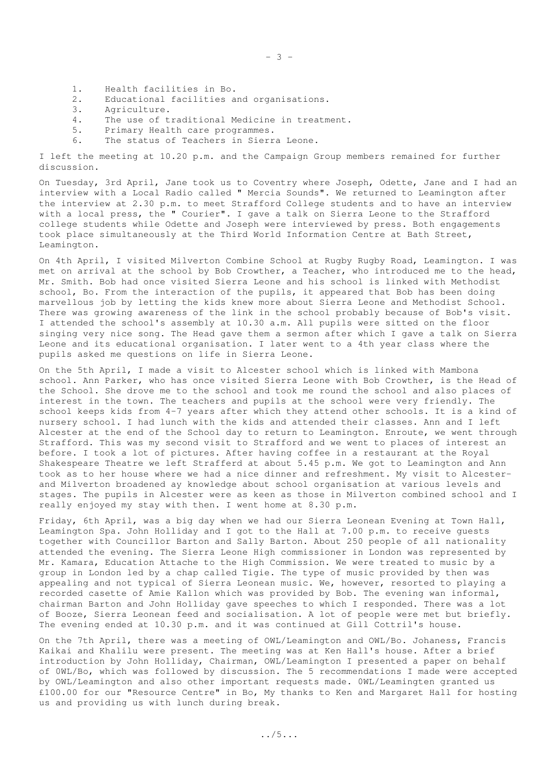- $-3 -$
- 1. Health facilities in Bo.
- 2. Educational facilities and organisations.
- 3. Agriculture.
- 4. The use of traditional Medicine in treatment.
- 5. Primary Health care programmes.
- 6. The status of Teachers in Sierra Leone.

I left the meeting at 10.20 p.m. and the Campaign Group members remained for further discussion.

On Tuesday, 3rd April, Jane took us to Coventry where Joseph, Odette, Jane and I had an interview with a Local Radio called " Mercia Sounds". We returned to Leamington after the interview at 2.30 p.m. to meet Strafford College students and to have an interview with a local press, the " Courier". I gave a talk on Sierra Leone to the Strafford college students while Odette and Joseph were interviewed by press. Both engagements took place simultaneously at the Third World Information Centre at Bath Street, Leamington.

On 4th April, I visited Milverton Combine School at Rugby Rugby Road, Leamington. I was met on arrival at the school by Bob Crowther, a Teacher, who introduced me to the head, Mr. Smith. Bob had once visited Sierra Leone and his school is linked with Methodist school, Bo. From the interaction of the pupils, it appeared that Bob has been doing marvellous job by letting the kids knew more about Sierra Leone and Methodist School. There was growing awareness of the link in the school probably because of Bob's visit. I attended the school's assembly at 10.30 a.m. All pupils were sitted on the floor singing very nice song. The Head gave them a sermon after which I gave a talk on Sierra Leone and its educational organisation. I later went to a 4th year class where the pupils asked me questions on life in Sierra Leone.

On the 5th April, I made a visit to Alcester school which is linked with Mambona school. Ann Parker, who has once visited Sierra Leone with Bob Crowther, is the Head of the School. She drove me to the school and took me round the school and also places of interest in the town. The teachers and pupils at the school were very friendly. The school keeps kids from 4-7 years after which they attend other schools. It is a kind of nursery school. I had lunch with the kids and attended their classes. Ann and I left Alcester at the end of the School day to return to Leamington. Enroute, we went through Strafford. This was my second visit to Strafford and we went to places of interest an before. I took a lot of pictures. After having coffee in a restaurant at the Royal Shakespeare Theatre we left Strafferd at about 5.45 p.m. We got to Leamington and Ann took as to her house where we had a nice dinner and refreshment. My visit to Alcesterand Milverton broadened ay knowledge about school organisation at various levels and stages. The pupils in Alcester were as keen as those in Milverton combined school and I really enjoyed my stay with then. I went home at 8.30 p.m.

Friday, 6th April, was a big day when we had our Sierra Leonean Evening at Town Hall, Leamington Spa. John Holliday and I got to the Hall at 7.00 p.m. to receive guests together with Councillor Barton and Sally Barton. About 250 people of all nationality attended the evening. The Sierra Leone High commissioner in London was represented by Mr. Kamara, Education Attache to the High Commission. We were treated to music by a group in London led by a chap called Tigie. The type of music provided by then was appealing and not typical of Sierra Leonean music. We, however, resorted to playing a recorded casette of Amie Kallon which was provided by Bob. The evening wan informal, chairman Barton and John Holliday gave speeches to which I responded. There was a lot of Booze, Sierra Leonean feed and socialisation. A lot of people were met but briefly. The evening ended at 10.30 p.m. and it was continued at Gill Cottril's house.

On the 7th April, there was a meeting of OWL/Leamington and OWL/Bo. Johaness, Francis Kaikai and Khalilu were present. The meeting was at Ken Hall's house. After a brief introduction by John Holliday, Chairman, OWL/Leamington I presented a paper on behalf of 0WL/Bo, which was followed by discussion. The 5 recommendations I made were accepted by OWL/Leamington and also other important requests made. 0WL/Leamingten granted us £100.00 for our "Resource Centre" in Bo, My thanks to Ken and Margaret Hall for hosting us and providing us with lunch during break.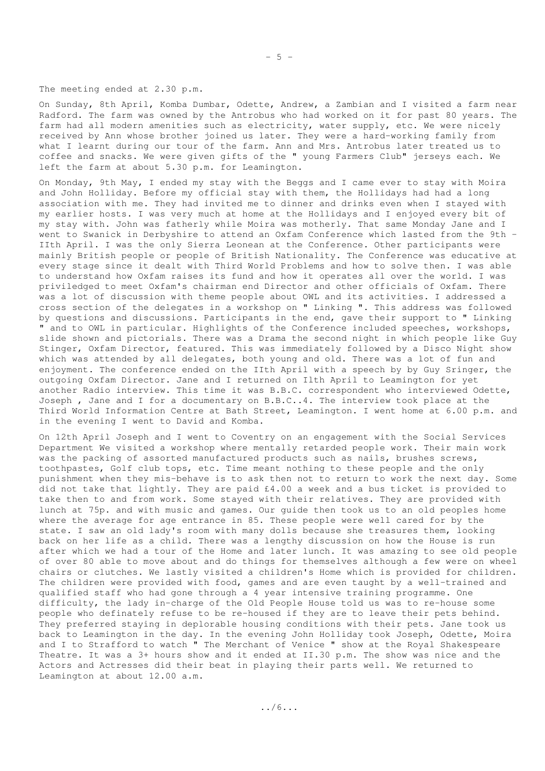The meeting ended at 2.30 p.m.

On Sunday, 8th April, Komba Dumbar, Odette, Andrew, a Zambian and I visited a farm near Radford. The farm was owned by the Antrobus who had worked on it for past 80 years. The farm had all modern amenities such as electricity, water supply, etc. We were nicely received by Ann whose brother joined us later. They were a hard-working family from what I learnt during our tour of the farm. Ann and Mrs. Antrobus later treated us to coffee and snacks. We were given gifts of the " young Farmers Club" jerseys each. We left the farm at about 5.30 p.m. for Leamington.

On Monday, 9th May, I ended my stay with the Beggs and I came ever to stay with Moira and John Holliday. Before my official stay with them, the Hollidays had had a long association with me. They had invited me to dinner and drinks even when I stayed with my earlier hosts. I was very much at home at the Hollidays and I enjoyed every bit of my stay with. John was fatherly while Moira was motherly. That same Monday Jane and I went to Swanick in Derbyshire to attend an Oxfam Conference which lasted from the 9th -IIth April. I was the only Sierra Leonean at the Conference. Other participants were mainly British people or people of British Nationality. The Conference was educative at every stage since it dealt with Third World Problems and how to solve then. I was able to understand how Oxfam raises its fund and how it operates all over the world. I was priviledged to meet Oxfam's chairman end Director and other officials of Oxfam. There was a lot of discussion with theme people about OWL and its activities. I addressed a cross section of the delegates in a workshop on " Linking ". This address was followed by questions and discussions. Participants in the end, gave their support to " Linking " and to OWL in particular. Highlights of the Conference included speeches, workshops, slide shown and pictorials. There was a Drama the second night in which people like Guy Stinger, Oxfam Director, featured. This was immediately followed by a Disco Night show which was attended by all delegates, both young and old. There was a lot of fun and enjoyment. The conference ended on the IIth April with a speech by by Guy Sringer, the outgoing Oxfam Director. Jane and I returned on Ilth April to Leamington for yet another Radio interview. This time it was B.B.C. correspondent who interviewed Odette, Joseph , Jane and I for a documentary on B.B.C..4. The interview took place at the Third World Information Centre at Bath Street, Leamington. I went home at 6.00 p.m. and in the evening I went to David and Komba.

On 12th April Joseph and I went to Coventry on an engagement with the Social Services Department We visited a workshop where mentally retarded people work. Their main work was the packing of assorted manufactured products such as nails, brushes screws, toothpastes, Golf club tops, etc. Time meant nothing to these people and the only punishment when they mis-behave is to ask then not to return to work the next day. Some did not take that lightly. They are paid £4.00 a week and a bus ticket is provided to take then to and from work. Some stayed with their relatives. They are provided with lunch at 75p. and with music and games. Our guide then took us to an old peoples home where the average for age entrance in 85. These people were well cared for by the state. I saw an old lady's room with many dolls because she treasures them, looking back on her life as a child. There was a lengthy discussion on how the House is run after which we had a tour of the Home and later lunch. It was amazing to see old people of over 80 able to move about and do things for themselves although a few were on wheel chairs or clutches. We lastly visited a children's Home which is provided for children. The children were provided with food, games and are even taught by a well-trained and qualified staff who had gone through a 4 year intensive training programme. One difficulty, the lady in-charge of the Old People House told us was to re-house some people who definately refuse to be re-housed if they are to leave their pets behind. They preferred staying in deplorable housing conditions with their pets. Jane took us back to Leamington in the day. In the evening John Holliday took Joseph, Odette, Moira and I to Strafford to watch " The Merchant of Venice " show at the Royal Shakespeare Theatre. It was a 3+ hours show and it ended at II.30 p.m. The show was nice and the Actors and Actresses did their beat in playing their parts well. We returned to Leamington at about 12.00 a.m.